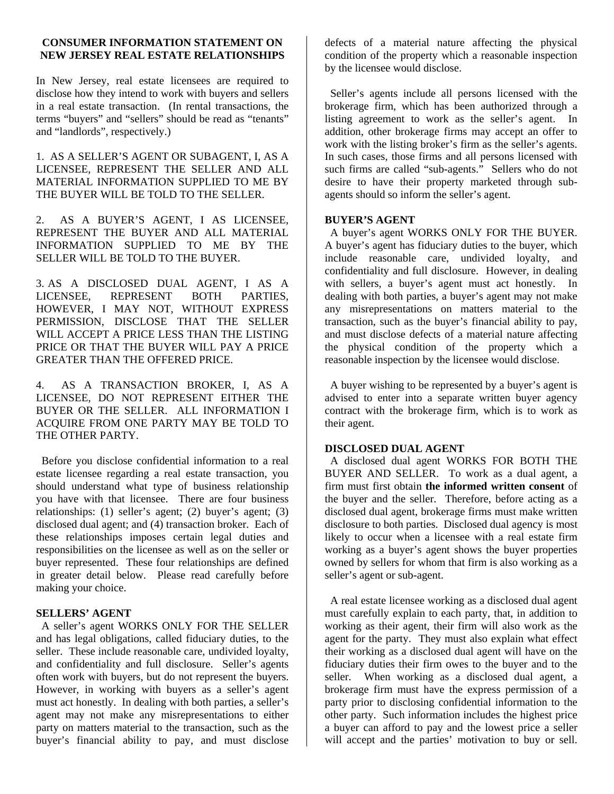#### **CONSUMER INFORMATION STATEMENT ON NEW JERSEY REAL ESTATE RELATIONSHIPS**

In New Jersey, real estate licensees are required to disclose how they intend to work with buyers and sellers in a real estate transaction. (In rental transactions, the terms "buyers" and "sellers" should be read as "tenants" and "landlords", respectively.)

## 1. AS A SELLER'S AGENT OR SUBAGENT, I, AS A LICENSEE, REPRESENT THE SELLER AND ALL MATERIAL INFORMATION SUPPLIED TO ME BY THE BUYER WILL BE TOLD TO THE SELLER.

2. AS A BUYER'S AGENT, I AS LICENSEE, REPRESENT THE BUYER AND ALL MATERIAL INFORMATION SUPPLIED TO ME BY THE SELLER WILL BE TOLD TO THE BUYER.

3. AS A DISCLOSED DUAL AGENT, I AS A LICENSEE, REPRESENT BOTH PARTIES, HOWEVER, I MAY NOT, WITHOUT EXPRESS PERMISSION, DISCLOSE THAT THE SELLER WILL ACCEPT A PRICE LESS THAN THE LISTING PRICE OR THAT THE BUYER WILL PAY A PRICE GREATER THAN THE OFFERED PRICE.

4. AS A TRANSACTION BROKER, I, AS A LICENSEE, DO NOT REPRESENT EITHER THE BUYER OR THE SELLER. ALL INFORMATION I ACQUIRE FROM ONE PARTY MAY BE TOLD TO THE OTHER PARTY.

 Before you disclose confidential information to a real estate licensee regarding a real estate transaction, you should understand what type of business relationship you have with that licensee. There are four business relationships: (1) seller's agent; (2) buyer's agent; (3) disclosed dual agent; and (4) transaction broker. Each of these relationships imposes certain legal duties and responsibilities on the licensee as well as on the seller or buyer represented. These four relationships are defined in greater detail below. Please read carefully before making your choice.

#### **SELLERS' AGENT**

 A seller's agent WORKS ONLY FOR THE SELLER and has legal obligations, called fiduciary duties, to the seller. These include reasonable care, undivided loyalty, and confidentiality and full disclosure. Seller's agents often work with buyers, but do not represent the buyers. However, in working with buyers as a seller's agent must act honestly. In dealing with both parties, a seller's agent may not make any misrepresentations to either party on matters material to the transaction, such as the buyer's financial ability to pay, and must disclose

defects of a material nature affecting the physical condition of the property which a reasonable inspection by the licensee would disclose.

 Seller's agents include all persons licensed with the brokerage firm, which has been authorized through a listing agreement to work as the seller's agent. In addition, other brokerage firms may accept an offer to work with the listing broker's firm as the seller's agents. In such cases, those firms and all persons licensed with such firms are called "sub-agents." Sellers who do not desire to have their property marketed through subagents should so inform the seller's agent.

## **BUYER'S AGENT**

 A buyer's agent WORKS ONLY FOR THE BUYER. A buyer's agent has fiduciary duties to the buyer, which include reasonable care, undivided loyalty, and confidentiality and full disclosure. However, in dealing with sellers, a buyer's agent must act honestly. In dealing with both parties, a buyer's agent may not make any misrepresentations on matters material to the transaction, such as the buyer's financial ability to pay, and must disclose defects of a material nature affecting the physical condition of the property which a reasonable inspection by the licensee would disclose.

 A buyer wishing to be represented by a buyer's agent is advised to enter into a separate written buyer agency contract with the brokerage firm, which is to work as their agent.

## **DISCLOSED DUAL AGENT**

A disclosed dual agent WORKS FOR BOTH THE BUYER AND SELLER. To work as a dual agent, a firm must first obtain **the informed written consent** of the buyer and the seller. Therefore, before acting as a disclosed dual agent, brokerage firms must make written disclosure to both parties. Disclosed dual agency is most likely to occur when a licensee with a real estate firm working as a buyer's agent shows the buyer properties owned by sellers for whom that firm is also working as a seller's agent or sub-agent.

 A real estate licensee working as a disclosed dual agent must carefully explain to each party, that, in addition to working as their agent, their firm will also work as the agent for the party. They must also explain what effect their working as a disclosed dual agent will have on the fiduciary duties their firm owes to the buyer and to the seller. When working as a disclosed dual agent, a brokerage firm must have the express permission of a party prior to disclosing confidential information to the other party. Such information includes the highest price a buyer can afford to pay and the lowest price a seller will accept and the parties' motivation to buy or sell.